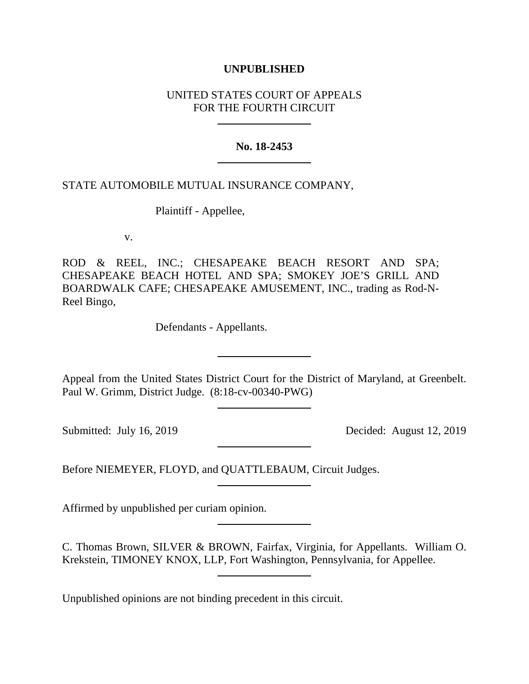# **UNPUBLISHED**

# UNITED STATES COURT OF APPEALS FOR THE FOURTH CIRCUIT

## **No. 18-2453**

## STATE AUTOMOBILE MUTUAL INSURANCE COMPANY,

Plaintiff - Appellee,

v.

ROD & REEL, INC.; CHESAPEAKE BEACH RESORT AND SPA; CHESAPEAKE BEACH HOTEL AND SPA; SMOKEY JOE'S GRILL AND BOARDWALK CAFE; CHESAPEAKE AMUSEMENT, INC., trading as Rod-N-Reel Bingo,

Defendants - Appellants.

Appeal from the United States District Court for the District of Maryland, at Greenbelt. Paul W. Grimm, District Judge. (8:18-cv-00340-PWG)

Submitted: July 16, 2019 Decided: August 12, 2019

Before NIEMEYER, FLOYD, and QUATTLEBAUM, Circuit Judges.

Affirmed by unpublished per curiam opinion.

C. Thomas Brown, SILVER & BROWN, Fairfax, Virginia, for Appellants. William O. Krekstein, TIMONEY KNOX, LLP, Fort Washington, Pennsylvania, for Appellee.

Unpublished opinions are not binding precedent in this circuit.